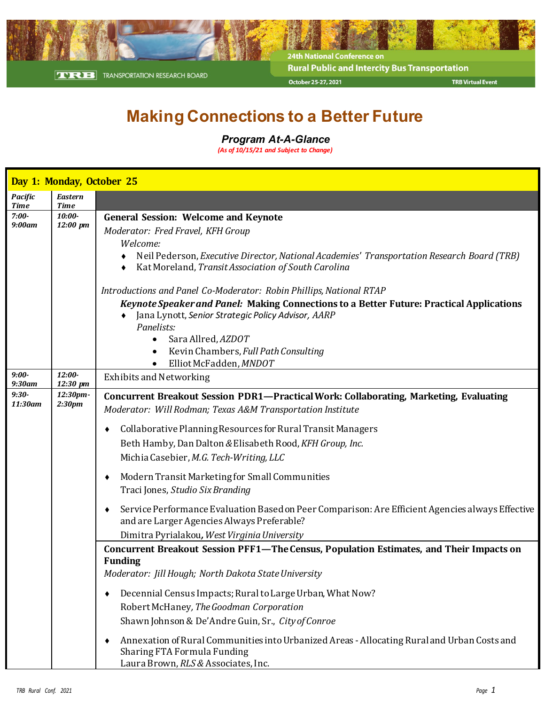

24th National Conference on **Rural Public and Intercity Bus Transportation** October 25-27, 2021

**TRB Virtual Event** 

## **Making Connections to a Better Future**

## *Program At-A-Glance*

*(As of 10/15/21 and Subject to Change)*

|                               | Day 1: Monday, October 25     |                                                                                                                                                                                                                                                                                                                                                                                                                                                                                                                                                                                                                   |
|-------------------------------|-------------------------------|-------------------------------------------------------------------------------------------------------------------------------------------------------------------------------------------------------------------------------------------------------------------------------------------------------------------------------------------------------------------------------------------------------------------------------------------------------------------------------------------------------------------------------------------------------------------------------------------------------------------|
| <b>Pacific</b><br><b>Time</b> | <b>Eastern</b><br><b>Time</b> |                                                                                                                                                                                                                                                                                                                                                                                                                                                                                                                                                                                                                   |
| $7:00-$<br>$9:00$ am          | $10:00-$<br>12:00 pm          | <b>General Session: Welcome and Keynote</b><br>Moderator: Fred Fravel, KFH Group<br>Welcome:<br>Neil Pederson, Executive Director, National Academies' Transportation Research Board (TRB)<br>Kat Moreland, Transit Association of South Carolina<br>Introductions and Panel Co-Moderator: Robin Phillips, National RTAP<br>Keynote Speaker and Panel: Making Connections to a Better Future: Practical Applications<br>Jana Lynott, Senior Strategic Policy Advisor, AARP<br>Panelists:<br>Sara Allred, AZDOT<br>$\bullet$<br>Kevin Chambers, Full Path Consulting<br>$\bullet$<br>Elliot McFadden, MNDOT        |
| $9:00-$<br>$9:30$ am          | $12:00-$<br>12:30 pm          | <b>Exhibits and Networking</b>                                                                                                                                                                                                                                                                                                                                                                                                                                                                                                                                                                                    |
| $9:30-$<br>11:30am            | 12:30pm-<br>2:30pm            | Concurrent Breakout Session PDR1—Practical Work: Collaborating, Marketing, Evaluating<br>Moderator: Will Rodman; Texas A&M Transportation Institute<br>Collaborative Planning Resources for Rural Transit Managers<br>Beth Hamby, Dan Dalton & Elisabeth Rood, KFH Group, Inc.<br>Michia Casebier, M.G. Tech-Writing, LLC<br>Modern Transit Marketing for Small Communities<br>Traci Jones, Studio Six Branding<br>Service Performance Evaluation Based on Peer Comparison: Are Efficient Agencies always Effective<br>and are Larger Agencies Always Preferable?<br>Dimitra Pyrialakou, West Virginia University |
|                               |                               | Concurrent Breakout Session PFF1-The Census, Population Estimates, and Their Impacts on<br><b>Funding</b><br>Moderator: Jill Hough; North Dakota State University<br>Decennial Census Impacts; Rural to Large Urban, What Now?<br>Robert McHaney, The Goodman Corporation<br>Shawn Johnson & De'Andre Guin, Sr., City of Conroe<br>Annexation of Rural Communities into Urbanized Areas - Allocating Rural and Urban Costs and<br>Sharing FTA Formula Funding<br>Laura Brown, RLS & Associates, Inc.                                                                                                              |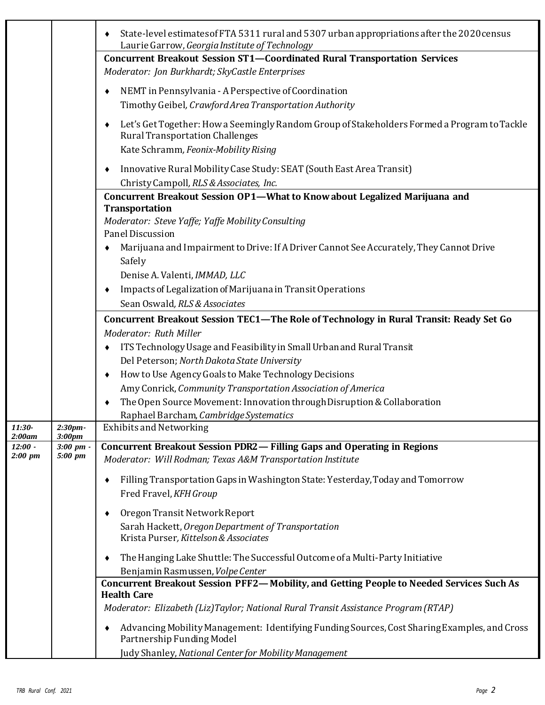|                     |                               | State-level estimates of FTA 5311 rural and 5307 urban appropriations after the 2020 census<br>Laurie Garrow, Georgia Institute of Technology                                 |
|---------------------|-------------------------------|-------------------------------------------------------------------------------------------------------------------------------------------------------------------------------|
|                     |                               | <b>Concurrent Breakout Session ST1-Coordinated Rural Transportation Services</b><br>Moderator: Jon Burkhardt; SkyCastle Enterprises                                           |
|                     |                               | NEMT in Pennsylvania - A Perspective of Coordination<br>٠<br>Timothy Geibel, Crawford Area Transportation Authority                                                           |
|                     |                               | Let's Get Together: How a Seemingly Random Group of Stakeholders Formed a Program to Tackle<br><b>Rural Transportation Challenges</b><br>Kate Schramm, Feonix-Mobility Rising |
|                     |                               | Innovative Rural Mobility Case Study: SEAT (South East Area Transit)<br>٠<br>Christy Campoll, RLS & Associates, Inc.                                                          |
|                     |                               | Concurrent Breakout Session OP1-What to Know about Legalized Marijuana and<br><b>Transportation</b>                                                                           |
|                     |                               | Moderator: Steve Yaffe; Yaffe Mobility Consulting<br>Panel Discussion                                                                                                         |
|                     |                               | Marijuana and Impairment to Drive: If A Driver Cannot See Accurately, They Cannot Drive<br>Safely                                                                             |
|                     |                               | Denise A. Valenti, IMMAD, LLC<br>Impacts of Legalization of Marijuana in Transit Operations                                                                                   |
|                     |                               | Sean Oswald, RLS & Associates                                                                                                                                                 |
|                     |                               | Concurrent Breakout Session TEC1-The Role of Technology in Rural Transit: Ready Set Go                                                                                        |
|                     |                               | Moderator: Ruth Miller<br>ITS Technology Usage and Feasibility in Small Urban and Rural Transit                                                                               |
|                     |                               | Del Peterson; North Dakota State University                                                                                                                                   |
|                     |                               | How to Use Agency Goals to Make Technology Decisions<br>٠                                                                                                                     |
|                     |                               | Amy Conrick, Community Transportation Association of America                                                                                                                  |
|                     |                               | The Open Source Movement: Innovation through Disruption & Collaboration                                                                                                       |
|                     |                               | Raphael Barcham, Cambridge Systematics                                                                                                                                        |
| 11:30-              | 2:30pm-                       | <b>Exhibits and Networking</b>                                                                                                                                                |
| 2:00am<br>$12:00 -$ | 3:00 <sub>pm</sub><br>3:00~pm | Concurrent Breakout Session PDR2 - Filling Gaps and Operating in Regions                                                                                                      |
| 2:00~pm             | 5:00 pm                       | Moderator: Will Rodman; Texas A&M Transportation Institute                                                                                                                    |
|                     |                               | Filling Transportation Gaps in Washington State: Yesterday, Today and Tomorrow                                                                                                |
|                     |                               | Fred Fravel, KFH Group                                                                                                                                                        |
|                     |                               | Oregon Transit Network Report<br>٠                                                                                                                                            |
|                     |                               | Sarah Hackett, Oregon Department of Transportation                                                                                                                            |
|                     |                               | Krista Purser, Kittelson & Associates                                                                                                                                         |
|                     |                               | The Hanging Lake Shuttle: The Successful Outcome of a Multi-Party Initiative                                                                                                  |
|                     |                               | Benjamin Rasmussen, Volpe Center                                                                                                                                              |
|                     |                               | Concurrent Breakout Session PFF2-Mobility, and Getting People to Needed Services Such As                                                                                      |
|                     |                               | <b>Health Care</b><br>Moderator: Elizabeth (Liz)Taylor; National Rural Transit Assistance Program (RTAP)                                                                      |
|                     |                               | Advancing Mobility Management: Identifying Funding Sources, Cost Sharing Examples, and Cross<br>Partnership Funding Model                                                     |
|                     |                               | Judy Shanley, National Center for Mobility Management                                                                                                                         |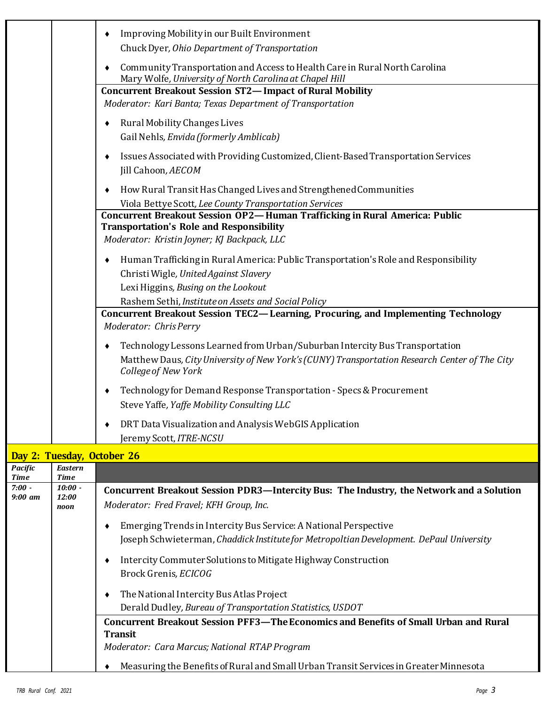|                               |                            | Improving Mobility in our Built Environment<br>٠<br>Chuck Dyer, Ohio Department of Transportation                                                                                                        |
|-------------------------------|----------------------------|----------------------------------------------------------------------------------------------------------------------------------------------------------------------------------------------------------|
|                               |                            | Community Transportation and Access to Health Care in Rural North Carolina<br>٠<br>Mary Wolfe, University of North Carolina at Chapel Hill                                                               |
|                               |                            | <b>Concurrent Breakout Session ST2-Impact of Rural Mobility</b><br>Moderator: Kari Banta; Texas Department of Transportation                                                                             |
|                               |                            | Rural Mobility Changes Lives<br>٠<br>Gail Nehls, Envida (formerly Amblicab)                                                                                                                              |
|                               |                            | Issues Associated with Providing Customized, Client-Based Transportation Services<br>٠<br>Jill Cahoon, AECOM                                                                                             |
|                               |                            | How Rural Transit Has Changed Lives and Strengthened Communities<br>٠<br>Viola Bettye Scott, Lee County Transportation Services                                                                          |
|                               |                            | Concurrent Breakout Session OP2-Human Trafficking in Rural America: Public<br><b>Transportation's Role and Responsibility</b><br>Moderator: Kristin Joyner; KJ Backpack, LLC                             |
|                               |                            | Human Trafficking in Rural America: Public Transportation's Role and Responsibility<br>٠<br>Christi Wigle, United Against Slavery<br>Lexi Higgins, Busing on the Lookout                                 |
|                               |                            | Rashem Sethi, Institute on Assets and Social Policy<br>Concurrent Breakout Session TEC2-Learning, Procuring, and Implementing Technology<br>Moderator: Chris Perry                                       |
|                               |                            | Technology Lessons Learned from Urban/Suburban Intercity Bus Transportation<br>٠<br>Matthew Daus, City University of New York's (CUNY) Transportation Research Center of The City<br>College of New York |
|                               |                            | Technology for Demand Response Transportation - Specs & Procurement<br>٠<br>Steve Yaffe, Yaffe Mobility Consulting LLC                                                                                   |
|                               |                            | DRT Data Visualization and Analysis WebGIS Application<br>Jeremy Scott, ITRE-NCSU                                                                                                                        |
|                               | Day 2: Tuesday, October 26 |                                                                                                                                                                                                          |
| <b>Pacific</b><br><b>Time</b> | <b>Eastern</b><br>Time     |                                                                                                                                                                                                          |
| $7:00 -$<br>$9:00$ am         | $10:00 -$<br>12:00<br>noon | Concurrent Breakout Session PDR3-Intercity Bus: The Industry, the Network and a Solution<br>Moderator: Fred Fravel; KFH Group, Inc.                                                                      |
|                               |                            | Emerging Trends in Intercity Bus Service: A National Perspective<br>٠<br>Joseph Schwieterman, Chaddick Institute for Metropoltian Development. DePaul University                                         |
|                               |                            | Intercity Commuter Solutions to Mitigate Highway Construction<br>٠<br>Brock Grenis, ECICOG                                                                                                               |
|                               |                            | The National Intercity Bus Atlas Project<br>٠<br>Derald Dudley, Bureau of Transportation Statistics, USDOT                                                                                               |
|                               |                            | <b>Concurrent Breakout Session PFF3-The Economics and Benefits of Small Urban and Rural</b><br><b>Transit</b>                                                                                            |
|                               |                            | Moderator: Cara Marcus; National RTAP Program                                                                                                                                                            |
|                               |                            | Measuring the Benefits of Rural and Small Urban Transit Services in Greater Minnesota                                                                                                                    |

L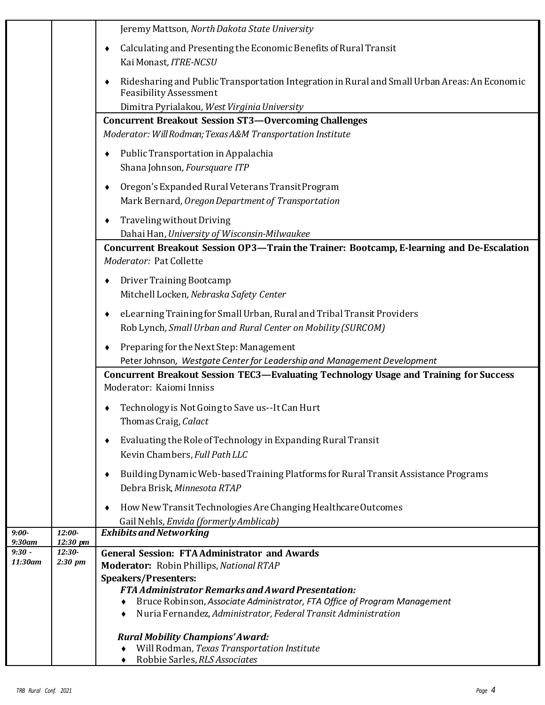|                               |                      | Jeremy Mattson, North Dakota State University                                                                                               |
|-------------------------------|----------------------|---------------------------------------------------------------------------------------------------------------------------------------------|
|                               |                      | Calculating and Presenting the Economic Benefits of Rural Transit<br>٠<br>Kai Monast, ITRE-NCSU                                             |
|                               |                      | Ridesharing and Public Transportation Integration in Rural and Small Urban Areas: An Economic<br>٠<br><b>Feasibility Assessment</b>         |
|                               |                      | Dimitra Pyrialakou, West Virginia University                                                                                                |
|                               |                      | <b>Concurrent Breakout Session ST3-Overcoming Challenges</b><br>Moderator: Will Rodman; Texas A&M Transportation Institute                  |
|                               |                      | Public Transportation in Appalachia<br>Shana Johnson, Foursquare ITP                                                                        |
|                               |                      | Oregon's Expanded Rural Veterans Transit Program<br>٠<br>Mark Bernard, Oregon Department of Transportation                                  |
|                               |                      | Traveling without Driving<br>٠<br>Dahai Han, University of Wisconsin-Milwaukee                                                              |
|                               |                      | Concurrent Breakout Session OP3-Train the Trainer: Bootcamp, E-learning and De-Escalation<br>Moderator: Pat Collette                        |
|                               |                      | Driver Training Bootcamp<br>Mitchell Locken, Nebraska Safety Center                                                                         |
|                               |                      | eLearning Training for Small Urban, Rural and Tribal Transit Providers<br>٠<br>Rob Lynch, Small Urban and Rural Center on Mobility (SURCOM) |
|                               |                      | Preparing for the Next Step: Management<br>٠<br>Peter Johnson, Westgate Center for Leadership and Management Development                    |
|                               |                      | Concurrent Breakout Session TEC3-Evaluating Technology Usage and Training for Success<br>Moderator: Kaiomi Inniss                           |
|                               |                      | Technology is Not Going to Save us--It Can Hurt<br>Thomas Craig, Calact                                                                     |
|                               |                      | Evaluating the Role of Technology in Expanding Rural Transit<br>٠<br>Kevin Chambers, Full Path LLC                                          |
|                               |                      | Building Dynamic Web-based Training Platforms for Rural Transit Assistance Programs<br>٠<br>Debra Brisk, Minnesota RTAP                     |
|                               |                      | How New Transit Technologies Are Changing Healthcare Outcomes<br>Gail Nehls, Envida (formerly Amblicab)                                     |
| $9:00-$                       | 12:00-               | <b>Exhibits and Networking</b>                                                                                                              |
| 9:30am<br>$\overline{9:}30$ - | 12:30 pm<br>$12:30-$ | <b>General Session: FTA Administrator and Awards</b>                                                                                        |
| 11:30am                       | 2:30 pm              | Moderator: Robin Phillips, National RTAP                                                                                                    |
|                               |                      | <b>Speakers/Presenters:</b>                                                                                                                 |
|                               |                      | <b>FTA Administrator Remarks and Award Presentation:</b>                                                                                    |
|                               |                      | Bruce Robinson, Associate Administrator, FTA Office of Program Management<br>Nuria Fernandez, Administrator, Federal Transit Administration |
|                               |                      | <b>Rural Mobility Champions' Award:</b><br>Will Rodman, Texas Transportation Institute                                                      |
|                               |                      | Robbie Sarles, RLS Associates                                                                                                               |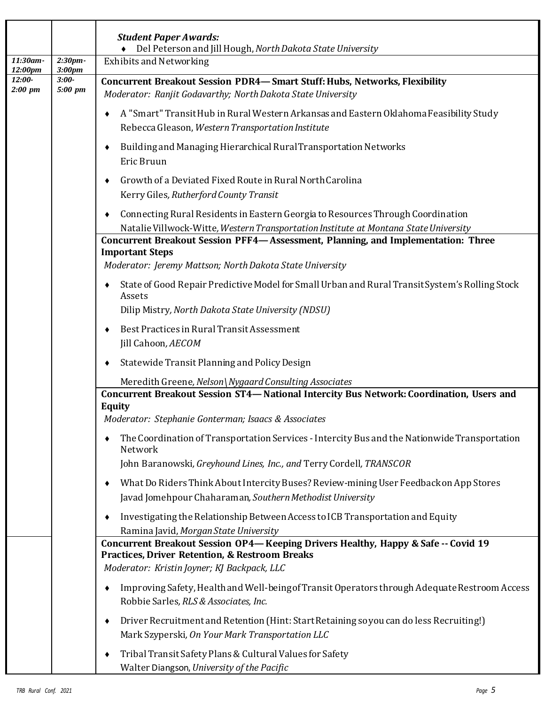|                     |                               | <b>Student Paper Awards:</b><br>Del Peterson and Jill Hough, North Dakota State University                                                                                                    |
|---------------------|-------------------------------|-----------------------------------------------------------------------------------------------------------------------------------------------------------------------------------------------|
| 11:30am-<br>12:00pm | 2:30pm-<br>3:00 <sub>pm</sub> | <b>Exhibits and Networking</b>                                                                                                                                                                |
| $12:00-$<br>2:00~pm | $3:00-$<br>5:00 pm            | <b>Concurrent Breakout Session PDR4-Smart Stuff: Hubs, Networks, Flexibility</b><br>Moderator: Ranjit Godavarthy; North Dakota State University                                               |
|                     |                               | A "Smart" Transit Hub in Rural Western Arkansas and Eastern Oklahoma Feasibility Study<br>Rebecca Gleason, Western Transportation Institute                                                   |
|                     |                               | Building and Managing Hierarchical Rural Transportation Networks<br>Eric Bruun                                                                                                                |
|                     |                               | Growth of a Deviated Fixed Route in Rural North Carolina<br>Kerry Giles, Rutherford County Transit                                                                                            |
|                     |                               | Connecting Rural Residents in Eastern Georgia to Resources Through Coordination<br>Natalie Villwock-Witte, Western Transportation Institute at Montana State University                       |
|                     |                               | Concurrent Breakout Session PFF4-Assessment, Planning, and Implementation: Three                                                                                                              |
|                     |                               | <b>Important Steps</b><br>Moderator: Jeremy Mattson; North Dakota State University                                                                                                            |
|                     |                               | State of Good Repair Predictive Model for Small Urban and Rural Transit System's Rolling Stock<br>Assets                                                                                      |
|                     |                               | Dilip Mistry, North Dakota State University (NDSU)                                                                                                                                            |
|                     |                               | Best Practices in Rural Transit Assessment<br>Jill Cahoon, AECOM                                                                                                                              |
|                     |                               | Statewide Transit Planning and Policy Design                                                                                                                                                  |
|                     |                               | Meredith Greene, Nelson\Nygaard Consulting Associates                                                                                                                                         |
|                     |                               | Concurrent Breakout Session ST4-National Intercity Bus Network: Coordination, Users and<br><b>Equity</b>                                                                                      |
|                     |                               | Moderator: Stephanie Gonterman; Isaacs & Associates                                                                                                                                           |
|                     |                               | The Coordination of Transportation Services - Intercity Bus and the Nationwide Transportation<br>Network                                                                                      |
|                     |                               | John Baranowski, Greyhound Lines, Inc., and Terry Cordell, TRANSCOR                                                                                                                           |
|                     |                               | What Do Riders Think About Intercity Buses? Review-mining User Feedback on App Stores<br>Javad Jomehpour Chaharaman, Southern Methodist University                                            |
|                     |                               | Investigating the Relationship Between Access to ICB Transportation and Equity<br>Ramina Javid, Morgan State University                                                                       |
|                     |                               | Concurrent Breakout Session OP4-Keeping Drivers Healthy, Happy & Safe -- Covid 19<br><b>Practices, Driver Retention, &amp; Restroom Breaks</b><br>Moderator: Kristin Joyner; KJ Backpack, LLC |
|                     |                               | Improving Safety, Health and Well-being of Transit Operators through Adequate Restroom Access<br>Robbie Sarles, RLS & Associates, Inc.                                                        |
|                     |                               | Driver Recruitment and Retention (Hint: Start Retaining so you can do less Recruiting!)<br>Mark Szyperski, On Your Mark Transportation LLC                                                    |
|                     |                               | Tribal Transit Safety Plans & Cultural Values for Safety<br>Walter Diangson, University of the Pacific                                                                                        |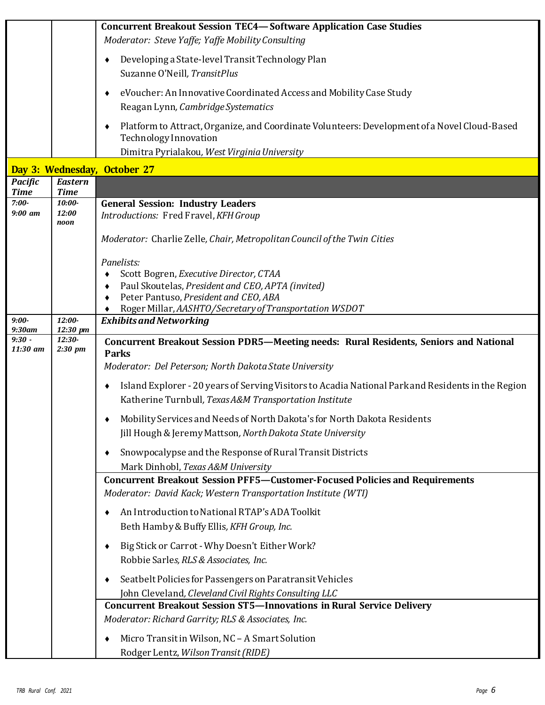|                               |                               | <b>Concurrent Breakout Session TEC4-Software Application Case Studies</b>                                                                                       |
|-------------------------------|-------------------------------|-----------------------------------------------------------------------------------------------------------------------------------------------------------------|
|                               |                               | Moderator: Steve Yaffe; Yaffe Mobility Consulting                                                                                                               |
|                               |                               | Developing a State-level Transit Technology Plan<br>Suzanne O'Neill, TransitPlus                                                                                |
|                               |                               | eVoucher: An Innovative Coordinated Access and Mobility Case Study<br>Reagan Lynn, Cambridge Systematics                                                        |
|                               |                               | Platform to Attract, Organize, and Coordinate Volunteers: Development of a Novel Cloud-Based<br>Technology Innovation                                           |
|                               |                               | Dimitra Pyrialakou, West Virginia University                                                                                                                    |
|                               |                               | Day 3: Wednesday, October 27                                                                                                                                    |
| <b>Pacific</b><br><b>Time</b> | <b>Eastern</b><br><b>Time</b> |                                                                                                                                                                 |
| $7:00-$<br>$9:00$ am          | $10:00-$<br>12:00<br>noon     | <b>General Session: Industry Leaders</b><br>Introductions: Fred Fravel, KFH Group                                                                               |
|                               |                               | Moderator: Charlie Zelle, Chair, Metropolitan Council of the Twin Cities                                                                                        |
|                               |                               | Panelists:                                                                                                                                                      |
|                               |                               | Scott Bogren, Executive Director, CTAA<br>Paul Skoutelas, President and CEO, APTA (invited)                                                                     |
|                               |                               | Peter Pantuso, President and CEO, ABA                                                                                                                           |
|                               |                               | Roger Millar, AASHTO/Secretary of Transportation WSDOT                                                                                                          |
| $9:00-$<br>$9:30$ am          | 12:00-<br>$12:30 \text{ pm}$  | <b>Exhibits and Networking</b>                                                                                                                                  |
| $9:30 -$<br>11:30 am          | $12:30-$<br>2:30~pm           | Concurrent Breakout Session PDR5-Meeting needs: Rural Residents, Seniors and National<br><b>Parks</b><br>Moderator: Del Peterson; North Dakota State University |
|                               |                               |                                                                                                                                                                 |
|                               |                               | Island Explorer - 20 years of Serving Visitors to Acadia National Park and Residents in the Region<br>Katherine Turnbull, Texas A&M Transportation Institute    |
|                               |                               | Mobility Services and Needs of North Dakota's for North Dakota Residents                                                                                        |
|                               |                               | Jill Hough & Jeremy Mattson, North Dakota State University                                                                                                      |
|                               |                               | Snowpocalypse and the Response of Rural Transit Districts<br>Mark Dinhobl, Texas A&M University                                                                 |
|                               |                               | <b>Concurrent Breakout Session PFF5-Customer-Focused Policies and Requirements</b><br>Moderator: David Kack; Western Transportation Institute (WTI)             |
|                               |                               | An Introduction to National RTAP's ADA Toolkit<br>Beth Hamby & Buffy Ellis, KFH Group, Inc.                                                                     |
|                               |                               | Big Stick or Carrot - Why Doesn't Either Work?                                                                                                                  |
|                               |                               | Robbie Sarles, RLS & Associates, Inc.                                                                                                                           |
|                               |                               | Seatbelt Policies for Passengers on Paratransit Vehicles                                                                                                        |
|                               |                               | John Cleveland, Cleveland Civil Rights Consulting LLC<br><b>Concurrent Breakout Session ST5-Innovations in Rural Service Delivery</b>                           |
|                               |                               | Moderator: Richard Garrity; RLS & Associates, Inc.                                                                                                              |
|                               |                               | Micro Transit in Wilson, NC - A Smart Solution                                                                                                                  |
|                               |                               | Rodger Lentz, Wilson Transit (RIDE)                                                                                                                             |